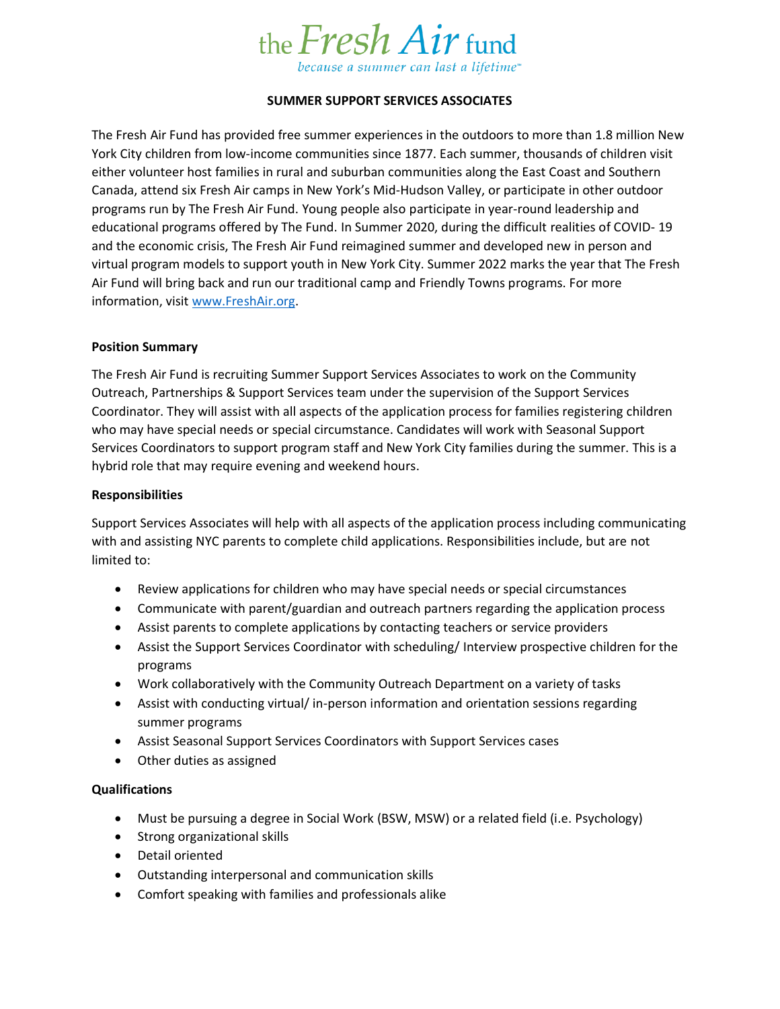

# **SUMMER SUPPORT SERVICES ASSOCIATES**

The Fresh Air Fund has provided free summer experiences in the outdoors to more than 1.8 million New York City children from low-income communities since 1877. Each summer, thousands of children visit either volunteer host families in rural and suburban communities along the East Coast and Southern Canada, attend six Fresh Air camps in New York's Mid-Hudson Valley, or participate in other outdoor programs run by The Fresh Air Fund. Young people also participate in year-round leadership and educational programs offered by The Fund. In Summer 2020, during the difficult realities of COVID- 19 and the economic crisis, The Fresh Air Fund reimagined summer and developed new in person and virtual program models to support youth in New York City. Summer 2022 marks the year that The Fresh Air Fund will bring back and run our traditional camp and Friendly Towns programs. For more information, visit [www.FreshAir.org.](http://www.freshair.org/)

## **Position Summary**

The Fresh Air Fund is recruiting Summer Support Services Associates to work on the Community Outreach, Partnerships & Support Services team under the supervision of the Support Services Coordinator. They will assist with all aspects of the application process for families registering children who may have special needs or special circumstance. Candidates will work with Seasonal Support Services Coordinators to support program staff and New York City families during the summer. This is a hybrid role that may require evening and weekend hours.

## **Responsibilities**

Support Services Associates will help with all aspects of the application process including communicating with and assisting NYC parents to complete child applications. Responsibilities include, but are not limited to:

- Review applications for children who may have special needs or special circumstances
- Communicate with parent/guardian and outreach partners regarding the application process
- Assist parents to complete applications by contacting teachers or service providers
- Assist the Support Services Coordinator with scheduling/ Interview prospective children for the programs
- Work collaboratively with the Community Outreach Department on a variety of tasks
- Assist with conducting virtual/ in-person information and orientation sessions regarding summer programs
- Assist Seasonal Support Services Coordinators with Support Services cases
- Other duties as assigned

## **Qualifications**

- Must be pursuing a degree in Social Work (BSW, MSW) or a related field (i.e. Psychology)
- Strong organizational skills
- Detail oriented
- Outstanding interpersonal and communication skills
- Comfort speaking with families and professionals alike